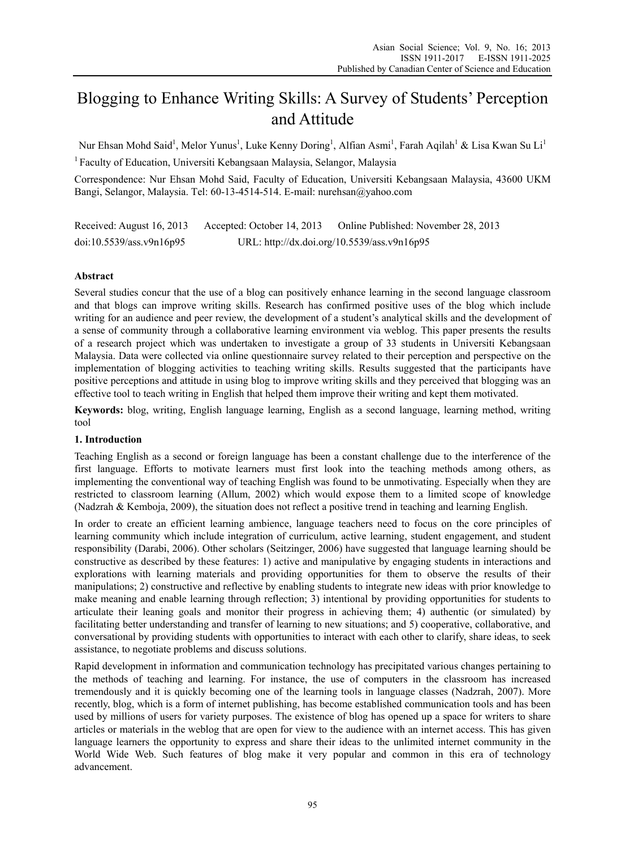# Blogging to Enhance Writing Skills: A Survey of Students' Perception and Attitude

Nur Ehsan Mohd Said<sup>1</sup>, Melor Yunus<sup>1</sup>, Luke Kenny Doring<sup>1</sup>, Alfian Asmi<sup>1</sup>, Farah Aqilah<sup>1</sup> & Lisa Kwan Su Li<sup>1</sup>

1 Faculty of Education, Universiti Kebangsaan Malaysia, Selangor, Malaysia

Correspondence: Nur Ehsan Mohd Said, Faculty of Education, Universiti Kebangsaan Malaysia, 43600 UKM Bangi, Selangor, Malaysia. Tel: 60-13-4514-514. E-mail: nurehsan@yahoo.com

Received: August 16, 2013 Accepted: October 14, 2013 Online Published: November 28, 2013 doi:10.5539/ass.v9n16p95 URL: http://dx.doi.org/10.5539/ass.v9n16p95

# **Abstract**

Several studies concur that the use of a blog can positively enhance learning in the second language classroom and that blogs can improve writing skills. Research has confirmed positive uses of the blog which include writing for an audience and peer review, the development of a student's analytical skills and the development of a sense of community through a collaborative learning environment via weblog. This paper presents the results of a research project which was undertaken to investigate a group of 33 students in Universiti Kebangsaan Malaysia. Data were collected via online questionnaire survey related to their perception and perspective on the implementation of blogging activities to teaching writing skills. Results suggested that the participants have positive perceptions and attitude in using blog to improve writing skills and they perceived that blogging was an effective tool to teach writing in English that helped them improve their writing and kept them motivated.

**Keywords:** blog, writing, English language learning, English as a second language, learning method, writing tool

#### **1. Introduction**

Teaching English as a second or foreign language has been a constant challenge due to the interference of the first language. Efforts to motivate learners must first look into the teaching methods among others, as implementing the conventional way of teaching English was found to be unmotivating. Especially when they are restricted to classroom learning (Allum, 2002) which would expose them to a limited scope of knowledge (Nadzrah & Kemboja, 2009), the situation does not reflect a positive trend in teaching and learning English.

In order to create an efficient learning ambience, language teachers need to focus on the core principles of learning community which include integration of curriculum, active learning, student engagement, and student responsibility (Darabi, 2006). Other scholars (Seitzinger, 2006) have suggested that language learning should be constructive as described by these features: 1) active and manipulative by engaging students in interactions and explorations with learning materials and providing opportunities for them to observe the results of their manipulations; 2) constructive and reflective by enabling students to integrate new ideas with prior knowledge to make meaning and enable learning through reflection; 3) intentional by providing opportunities for students to articulate their leaning goals and monitor their progress in achieving them; 4) authentic (or simulated) by facilitating better understanding and transfer of learning to new situations; and 5) cooperative, collaborative, and conversational by providing students with opportunities to interact with each other to clarify, share ideas, to seek assistance, to negotiate problems and discuss solutions.

Rapid development in information and communication technology has precipitated various changes pertaining to the methods of teaching and learning. For instance, the use of computers in the classroom has increased tremendously and it is quickly becoming one of the learning tools in language classes (Nadzrah, 2007). More recently, blog, which is a form of internet publishing, has become established communication tools and has been used by millions of users for variety purposes. The existence of blog has opened up a space for writers to share articles or materials in the weblog that are open for view to the audience with an internet access. This has given language learners the opportunity to express and share their ideas to the unlimited internet community in the World Wide Web. Such features of blog make it very popular and common in this era of technology advancement.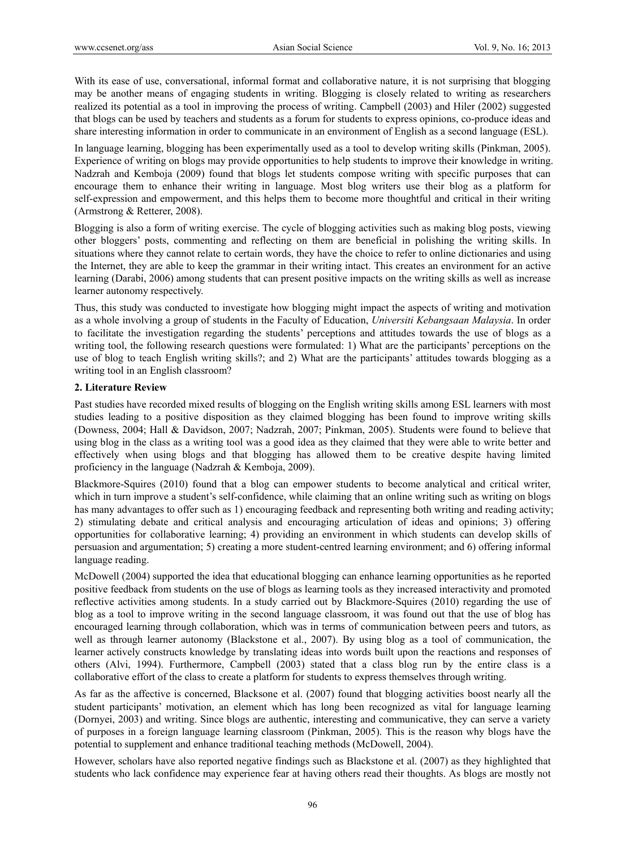With its ease of use, conversational, informal format and collaborative nature, it is not surprising that blogging may be another means of engaging students in writing. Blogging is closely related to writing as researchers realized its potential as a tool in improving the process of writing. Campbell (2003) and Hiler (2002) suggested that blogs can be used by teachers and students as a forum for students to express opinions, co-produce ideas and share interesting information in order to communicate in an environment of English as a second language (ESL).

In language learning, blogging has been experimentally used as a tool to develop writing skills (Pinkman, 2005). Experience of writing on blogs may provide opportunities to help students to improve their knowledge in writing. Nadzrah and Kemboja (2009) found that blogs let students compose writing with specific purposes that can encourage them to enhance their writing in language. Most blog writers use their blog as a platform for self-expression and empowerment, and this helps them to become more thoughtful and critical in their writing (Armstrong & Retterer, 2008).

Blogging is also a form of writing exercise. The cycle of blogging activities such as making blog posts, viewing other bloggers' posts, commenting and reflecting on them are beneficial in polishing the writing skills. In situations where they cannot relate to certain words, they have the choice to refer to online dictionaries and using the Internet, they are able to keep the grammar in their writing intact. This creates an environment for an active learning (Darabi, 2006) among students that can present positive impacts on the writing skills as well as increase learner autonomy respectively.

Thus, this study was conducted to investigate how blogging might impact the aspects of writing and motivation as a whole involving a group of students in the Faculty of Education, *Universiti Kebangsaan Malaysia*. In order to facilitate the investigation regarding the students' perceptions and attitudes towards the use of blogs as a writing tool, the following research questions were formulated: 1) What are the participants' perceptions on the use of blog to teach English writing skills?; and 2) What are the participants' attitudes towards blogging as a writing tool in an English classroom?

## **2. Literature Review**

Past studies have recorded mixed results of blogging on the English writing skills among ESL learners with most studies leading to a positive disposition as they claimed blogging has been found to improve writing skills (Downess, 2004; Hall & Davidson, 2007; Nadzrah, 2007; Pinkman, 2005). Students were found to believe that using blog in the class as a writing tool was a good idea as they claimed that they were able to write better and effectively when using blogs and that blogging has allowed them to be creative despite having limited proficiency in the language (Nadzrah & Kemboja, 2009).

Blackmore-Squires (2010) found that a blog can empower students to become analytical and critical writer, which in turn improve a student's self-confidence, while claiming that an online writing such as writing on blogs has many advantages to offer such as 1) encouraging feedback and representing both writing and reading activity; 2) stimulating debate and critical analysis and encouraging articulation of ideas and opinions; 3) offering opportunities for collaborative learning; 4) providing an environment in which students can develop skills of persuasion and argumentation; 5) creating a more student-centred learning environment; and 6) offering informal language reading.

McDowell (2004) supported the idea that educational blogging can enhance learning opportunities as he reported positive feedback from students on the use of blogs as learning tools as they increased interactivity and promoted reflective activities among students. In a study carried out by Blackmore-Squires (2010) regarding the use of blog as a tool to improve writing in the second language classroom, it was found out that the use of blog has encouraged learning through collaboration, which was in terms of communication between peers and tutors, as well as through learner autonomy (Blackstone et al., 2007). By using blog as a tool of communication, the learner actively constructs knowledge by translating ideas into words built upon the reactions and responses of others (Alvi, 1994). Furthermore, Campbell (2003) stated that a class blog run by the entire class is a collaborative effort of the class to create a platform for students to express themselves through writing.

As far as the affective is concerned, Blacksone et al. (2007) found that blogging activities boost nearly all the student participants' motivation, an element which has long been recognized as vital for language learning (Dornyei, 2003) and writing. Since blogs are authentic, interesting and communicative, they can serve a variety of purposes in a foreign language learning classroom (Pinkman, 2005). This is the reason why blogs have the potential to supplement and enhance traditional teaching methods (McDowell, 2004).

However, scholars have also reported negative findings such as Blackstone et al. (2007) as they highlighted that students who lack confidence may experience fear at having others read their thoughts. As blogs are mostly not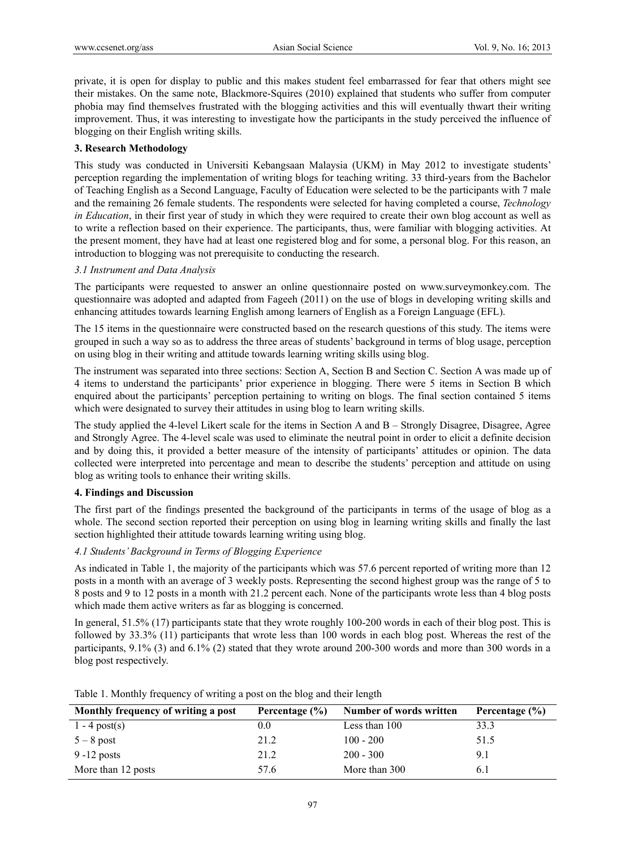private, it is open for display to public and this makes student feel embarrassed for fear that others might see their mistakes. On the same note, Blackmore-Squires (2010) explained that students who suffer from computer phobia may find themselves frustrated with the blogging activities and this will eventually thwart their writing improvement. Thus, it was interesting to investigate how the participants in the study perceived the influence of blogging on their English writing skills.

## **3. Research Methodology**

This study was conducted in Universiti Kebangsaan Malaysia (UKM) in May 2012 to investigate students' perception regarding the implementation of writing blogs for teaching writing. 33 third-years from the Bachelor of Teaching English as a Second Language, Faculty of Education were selected to be the participants with 7 male and the remaining 26 female students. The respondents were selected for having completed a course, *Technology in Education*, in their first year of study in which they were required to create their own blog account as well as to write a reflection based on their experience. The participants, thus, were familiar with blogging activities. At the present moment, they have had at least one registered blog and for some, a personal blog. For this reason, an introduction to blogging was not prerequisite to conducting the research.

#### *3.1 Instrument and Data Analysis*

The participants were requested to answer an online questionnaire posted on www.surveymonkey.com. The questionnaire was adopted and adapted from Fageeh (2011) on the use of blogs in developing writing skills and enhancing attitudes towards learning English among learners of English as a Foreign Language (EFL).

The 15 items in the questionnaire were constructed based on the research questions of this study. The items were grouped in such a way so as to address the three areas of students' background in terms of blog usage, perception on using blog in their writing and attitude towards learning writing skills using blog.

The instrument was separated into three sections: Section A, Section B and Section C. Section A was made up of 4 items to understand the participants' prior experience in blogging. There were 5 items in Section B which enquired about the participants' perception pertaining to writing on blogs. The final section contained 5 items which were designated to survey their attitudes in using blog to learn writing skills.

The study applied the 4-level Likert scale for the items in Section A and B – Strongly Disagree, Disagree, Agree and Strongly Agree. The 4-level scale was used to eliminate the neutral point in order to elicit a definite decision and by doing this, it provided a better measure of the intensity of participants' attitudes or opinion. The data collected were interpreted into percentage and mean to describe the students' perception and attitude on using blog as writing tools to enhance their writing skills.

## **4. Findings and Discussion**

The first part of the findings presented the background of the participants in terms of the usage of blog as a whole. The second section reported their perception on using blog in learning writing skills and finally the last section highlighted their attitude towards learning writing using blog.

#### *4.1 Students' Background in Terms of Blogging Experience*

As indicated in Table 1, the majority of the participants which was 57.6 percent reported of writing more than 12 posts in a month with an average of 3 weekly posts. Representing the second highest group was the range of 5 to 8 posts and 9 to 12 posts in a month with 21.2 percent each. None of the participants wrote less than 4 blog posts which made them active writers as far as blogging is concerned.

In general, 51.5% (17) participants state that they wrote roughly 100-200 words in each of their blog post. This is followed by 33.3% (11) participants that wrote less than 100 words in each blog post. Whereas the rest of the participants, 9.1% (3) and 6.1% (2) stated that they wrote around 200-300 words and more than 300 words in a blog post respectively.

| Monthly frequency of writing a post | Percentage $(\% )$ | Number of words written | Percentage $(\% )$ |
|-------------------------------------|--------------------|-------------------------|--------------------|
| $1 - 4$ post(s)                     | $0.0\,$            | Less than 100           | 33.3               |
| $5 - 8$ post                        | 21.2               | $100 - 200$             | 51.5               |
| $9 - 12$ posts                      | 21.2               | $200 - 300$             | 9.1                |
| More than 12 posts                  | 57.6               | More than 300           | 6.1                |

Table 1. Monthly frequency of writing a post on the blog and their length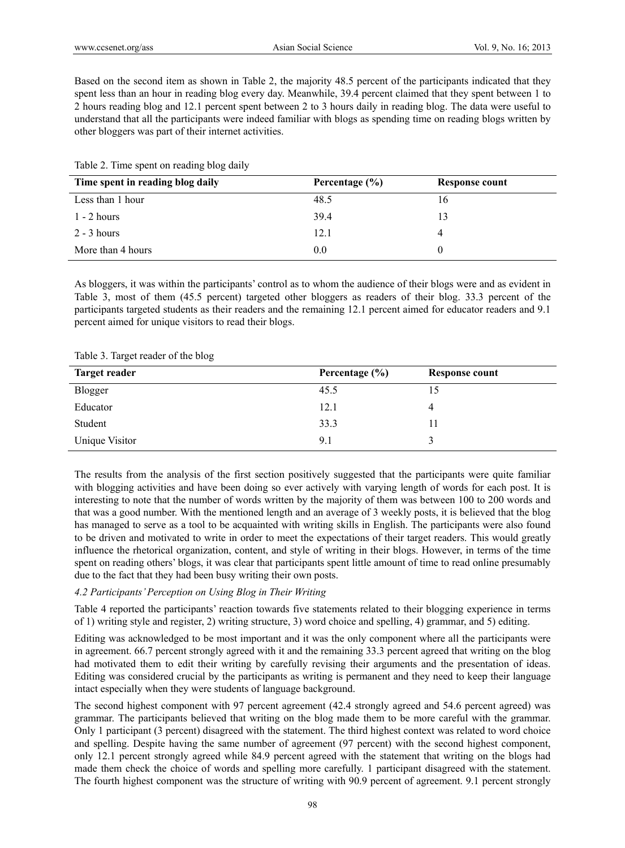Based on the second item as shown in Table 2, the majority 48.5 percent of the participants indicated that they spent less than an hour in reading blog every day. Meanwhile, 39.4 percent claimed that they spent between 1 to 2 hours reading blog and 12.1 percent spent between 2 to 3 hours daily in reading blog. The data were useful to understand that all the participants were indeed familiar with blogs as spending time on reading blogs written by other bloggers was part of their internet activities.

| Time spent in reading blog daily | Percentage $(\% )$ | <b>Response count</b> |
|----------------------------------|--------------------|-----------------------|
| Less than 1 hour                 | 48.5               | 16                    |
| $1 - 2$ hours                    | 39.4               | 13                    |
| $2 - 3$ hours                    | 12.1               | 4                     |
| More than 4 hours                | 0.0                |                       |

Table 2. Time spent on reading blog daily

As bloggers, it was within the participants' control as to whom the audience of their blogs were and as evident in Table 3, most of them (45.5 percent) targeted other bloggers as readers of their blog. 33.3 percent of the participants targeted students as their readers and the remaining 12.1 percent aimed for educator readers and 9.1 percent aimed for unique visitors to read their blogs.

| <b>Target reader</b> | Percentage $(\% )$ | Response count |
|----------------------|--------------------|----------------|
| Blogger              | 45.5               |                |
| Educator             | 12.1               |                |
| Student              | 33.3               | 11             |
| Unique Visitor       | 9.1                |                |

Table 3. Target reader of the blog

The results from the analysis of the first section positively suggested that the participants were quite familiar with blogging activities and have been doing so ever actively with varying length of words for each post. It is interesting to note that the number of words written by the majority of them was between 100 to 200 words and that was a good number. With the mentioned length and an average of 3 weekly posts, it is believed that the blog has managed to serve as a tool to be acquainted with writing skills in English. The participants were also found to be driven and motivated to write in order to meet the expectations of their target readers. This would greatly influence the rhetorical organization, content, and style of writing in their blogs. However, in terms of the time spent on reading others' blogs, it was clear that participants spent little amount of time to read online presumably due to the fact that they had been busy writing their own posts.

#### *4.2 Participants' Perception on Using Blog in Their Writing*

Table 4 reported the participants' reaction towards five statements related to their blogging experience in terms of 1) writing style and register, 2) writing structure, 3) word choice and spelling, 4) grammar, and 5) editing.

Editing was acknowledged to be most important and it was the only component where all the participants were in agreement. 66.7 percent strongly agreed with it and the remaining 33.3 percent agreed that writing on the blog had motivated them to edit their writing by carefully revising their arguments and the presentation of ideas. Editing was considered crucial by the participants as writing is permanent and they need to keep their language intact especially when they were students of language background.

The second highest component with 97 percent agreement (42.4 strongly agreed and 54.6 percent agreed) was grammar. The participants believed that writing on the blog made them to be more careful with the grammar. Only 1 participant (3 percent) disagreed with the statement. The third highest context was related to word choice and spelling. Despite having the same number of agreement (97 percent) with the second highest component, only 12.1 percent strongly agreed while 84.9 percent agreed with the statement that writing on the blogs had made them check the choice of words and spelling more carefully. 1 participant disagreed with the statement. The fourth highest component was the structure of writing with 90.9 percent of agreement. 9.1 percent strongly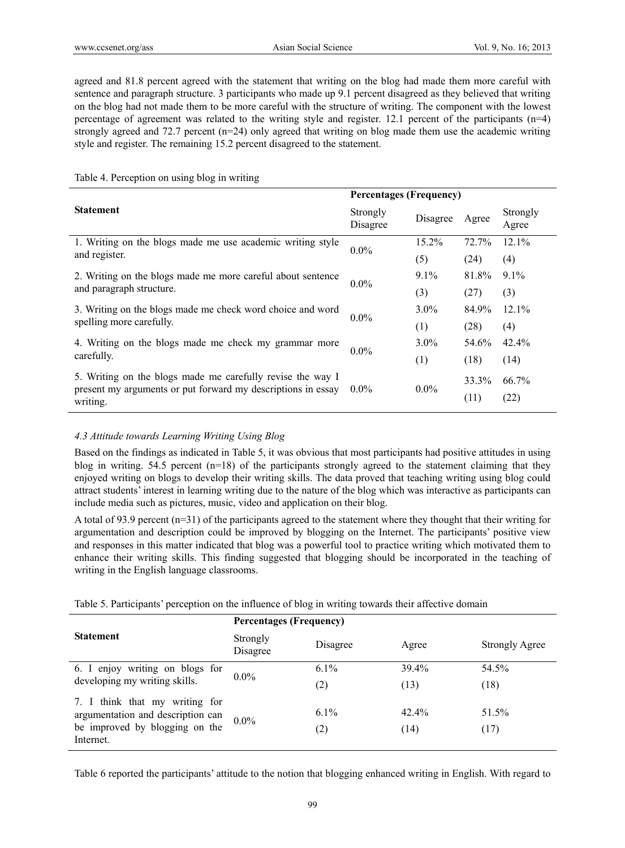agreed and 81.8 percent agreed with the statement that writing on the blog had made them more careful with sentence and paragraph structure. 3 participants who made up 9.1 percent disagreed as they believed that writing on the blog had not made them to be more careful with the structure of writing. The component with the lowest percentage of agreement was related to the writing style and register. 12.1 percent of the participants (n=4) strongly agreed and 72.7 percent (n=24) only agreed that writing on blog made them use the academic writing style and register. The remaining 15.2 percent disagreed to the statement.

#### Table 4. Perception on using blog in writing

|                                                              | <b>Percentages (Frequency)</b> |          |       |                   |  |
|--------------------------------------------------------------|--------------------------------|----------|-------|-------------------|--|
| <b>Statement</b>                                             | Strongly<br>Disagree           | Disagree | Agree | Strongly<br>Agree |  |
| 1. Writing on the blogs made me use academic writing style   | $0.0\%$                        | 15.2%    | 72.7% | 12.1%             |  |
| and register.                                                |                                | (5)      | (24)  | (4)               |  |
| 2. Writing on the blogs made me more careful about sentence  | $0.0\%$                        | $9.1\%$  | 81.8% | $9.1\%$           |  |
| and paragraph structure.                                     |                                | (3)      | (27)  | (3)               |  |
| 3. Writing on the blogs made me check word choice and word   | $0.0\%$                        | $3.0\%$  | 84.9% | $12.1\%$          |  |
| spelling more carefully.                                     |                                | (1)      | (28)  | (4)               |  |
| 4. Writing on the blogs made me check my grammar more        |                                | $3.0\%$  | 54.6% | $42.4\%$          |  |
| carefully.                                                   | $0.0\%$                        | (1)      | (18)  | (14)              |  |
| 5. Writing on the blogs made me carefully revise the way I   | $0.0\%$                        | $0.0\%$  | 33.3% | 66.7%             |  |
| present my arguments or put forward my descriptions in essay |                                |          | (11)  | (22)              |  |
| writing.                                                     |                                |          |       |                   |  |

# *4.3 Attitude towards Learning Writing Using Blog*

Based on the findings as indicated in Table 5, it was obvious that most participants had positive attitudes in using blog in writing. 54.5 percent (n=18) of the participants strongly agreed to the statement claiming that they enjoyed writing on blogs to develop their writing skills. The data proved that teaching writing using blog could attract students' interest in learning writing due to the nature of the blog which was interactive as participants can include media such as pictures, music, video and application on their blog.

A total of 93.9 percent (n=31) of the participants agreed to the statement where they thought that their writing for argumentation and description could be improved by blogging on the Internet. The participants' positive view and responses in this matter indicated that blog was a powerful tool to practice writing which motivated them to enhance their writing skills. This finding suggested that blogging should be incorporated in the teaching of writing in the English language classrooms.

|  | Table 5. Participants' perception on the influence of blog in writing towards their affective domain |  |  |  |
|--|------------------------------------------------------------------------------------------------------|--|--|--|
|  |                                                                                                      |  |  |  |

|                                                                                                                    | <b>Percentages (Frequency)</b> |                |                  |                       |  |
|--------------------------------------------------------------------------------------------------------------------|--------------------------------|----------------|------------------|-----------------------|--|
| <b>Statement</b>                                                                                                   | Strongly<br>Disagree           | Disagree       | Agree            | <b>Strongly Agree</b> |  |
| 6. I enjoy writing on blogs for                                                                                    | $0.0\%$                        | $6.1\%$        | 39.4%            | 54.5%                 |  |
| developing my writing skills.                                                                                      |                                | (2)            | (13)             | (18)                  |  |
| 7. I think that my writing for<br>argumentation and description can<br>be improved by blogging on the<br>Internet. | $0.0\%$                        | $6.1\%$<br>(2) | $42.4\%$<br>(14) | 51.5%<br>(17)         |  |

Table 6 reported the participants' attitude to the notion that blogging enhanced writing in English. With regard to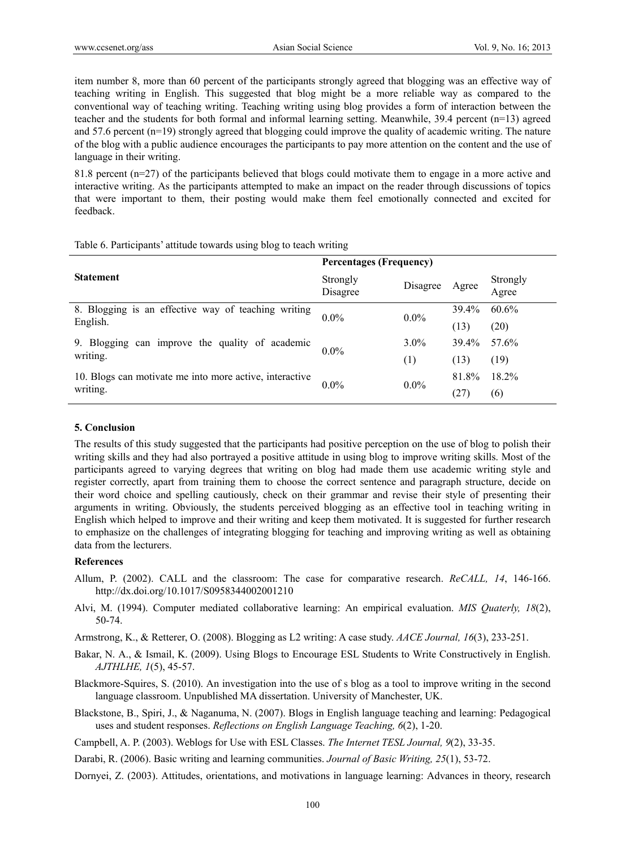item number 8, more than 60 percent of the participants strongly agreed that blogging was an effective way of teaching writing in English. This suggested that blog might be a more reliable way as compared to the conventional way of teaching writing. Teaching writing using blog provides a form of interaction between the teacher and the students for both formal and informal learning setting. Meanwhile, 39.4 percent (n=13) agreed and 57.6 percent (n=19) strongly agreed that blogging could improve the quality of academic writing. The nature of the blog with a public audience encourages the participants to pay more attention on the content and the use of language in their writing.

81.8 percent (n=27) of the participants believed that blogs could motivate them to engage in a more active and interactive writing. As the participants attempted to make an impact on the reader through discussions of topics that were important to them, their posting would make them feel emotionally connected and excited for feedback.

|                                                         | <b>Percentages (Frequency)</b> |          |       |                   |  |
|---------------------------------------------------------|--------------------------------|----------|-------|-------------------|--|
| <b>Statement</b>                                        | Strongly<br>Disagree           | Disagree | Agree | Strongly<br>Agree |  |
| 8. Blogging is an effective way of teaching writing     | $0.0\%$                        | $0.0\%$  | 39.4% | 60.6%             |  |
| English.                                                |                                |          | (13)  | (20)              |  |
| 9. Blogging can improve the quality of academic         | $0.0\%$                        | $3.0\%$  | 39.4% | 57.6%             |  |
| writing.                                                |                                | (1)      | (13)  | (19)              |  |
| 10. Blogs can motivate me into more active, interactive | $0.0\%$                        | $0.0\%$  | 81.8% | 18.2%             |  |
| writing.                                                |                                |          | (27)  | (6)               |  |

Table 6. Participants' attitude towards using blog to teach writing

#### **5. Conclusion**

The results of this study suggested that the participants had positive perception on the use of blog to polish their writing skills and they had also portrayed a positive attitude in using blog to improve writing skills. Most of the participants agreed to varying degrees that writing on blog had made them use academic writing style and register correctly, apart from training them to choose the correct sentence and paragraph structure, decide on their word choice and spelling cautiously, check on their grammar and revise their style of presenting their arguments in writing. Obviously, the students perceived blogging as an effective tool in teaching writing in English which helped to improve and their writing and keep them motivated. It is suggested for further research to emphasize on the challenges of integrating blogging for teaching and improving writing as well as obtaining data from the lecturers.

#### **References**

- Allum, P. (2002). CALL and the classroom: The case for comparative research. *ReCALL, 14*, 146-166. http://dx.doi.org/10.1017/S0958344002001210
- Alvi, M. (1994). Computer mediated collaborative learning: An empirical evaluation. *MIS Quaterly, 18*(2), 50-74.

Armstrong, K., & Retterer, O. (2008). Blogging as L2 writing: A case study. *AACE Journal, 16*(3), 233-251.

Bakar, N. A., & Ismail, K. (2009). Using Blogs to Encourage ESL Students to Write Constructively in English. *AJTHLHE, 1*(5), 45-57.

Blackmore-Squires, S. (2010). An investigation into the use of s blog as a tool to improve writing in the second language classroom. Unpublished MA dissertation. University of Manchester, UK.

Blackstone, B., Spiri, J., & Naganuma, N. (2007). Blogs in English language teaching and learning: Pedagogical uses and student responses. *Reflections on English Language Teaching, 6*(2), 1-20.

Campbell, A. P. (2003). Weblogs for Use with ESL Classes. *The Internet TESL Journal, 9*(2), 33-35.

Darabi, R. (2006). Basic writing and learning communities. *Journal of Basic Writing, 25*(1), 53-72.

Dornyei, Z. (2003). Attitudes, orientations, and motivations in language learning: Advances in theory, research